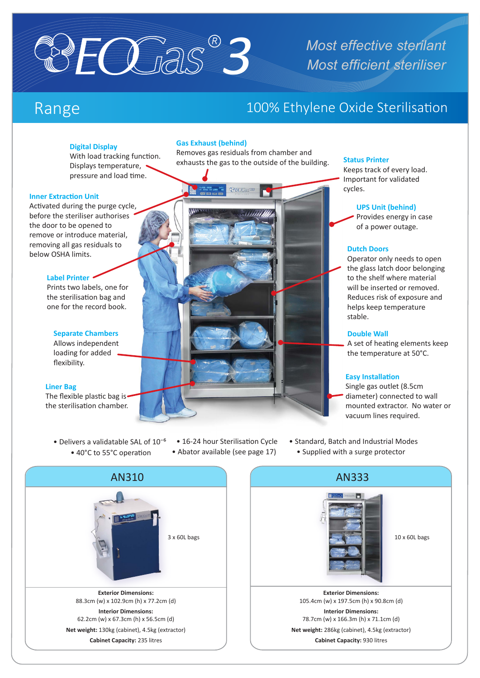

# *Most effective sterilant Most efficient steriliser*

## Range 100% Ethylene Oxide Sterilisation

#### **Digital Display**

With load tracking function. Displays temperature, pressure and load time.

#### **Inner Extraction Unit**

Activated during the purge cycle, before the steriliser authorises the door to be opened to remove or introduce material, removing all gas residuals to below OSHA limits.

#### **Label Printer**

Prints two labels, one for the sterilisation bag and one for the record book.

#### **Separate Chambers**

Allows independent loading for added flexibility.

#### **Liner Bag**

The flexible plastic bag is the sterilisation chamber.

- Delivers a validatable SAL of  $10^{-6}$ • 40°C to 55°C operation
- 16-24 hour Sterilisation Cycle

**Gas Exhaust (behind)**

Removes gas residuals from chamber and exhausts the gas to the outside of the building.

**Status Printer**

Keeps track of every load. Important for validated cycles.

#### **UPS Unit (behind)**

Provides energy in case of a power outage.

#### **Dutch Doors**

Operator only needs to open the glass latch door belonging to the shelf where material will be inserted or removed. Reduces risk of exposure and helps keep temperature stable.

#### **Double Wall**

A set of heating elements keep the temperature at 50°C.

#### **Easy Installation**

Single gas outlet (8.5cm diameter) connected to wall mounted extractor. No water or vacuum lines required.

• Abator available (see page 17) • Supplied with a surge protector • Standard, Batch and Industrial Modes





**Net weight:** 286kg (cabinet), 4.5kg (extractor) **Cabinet Capacity:** 930 litres